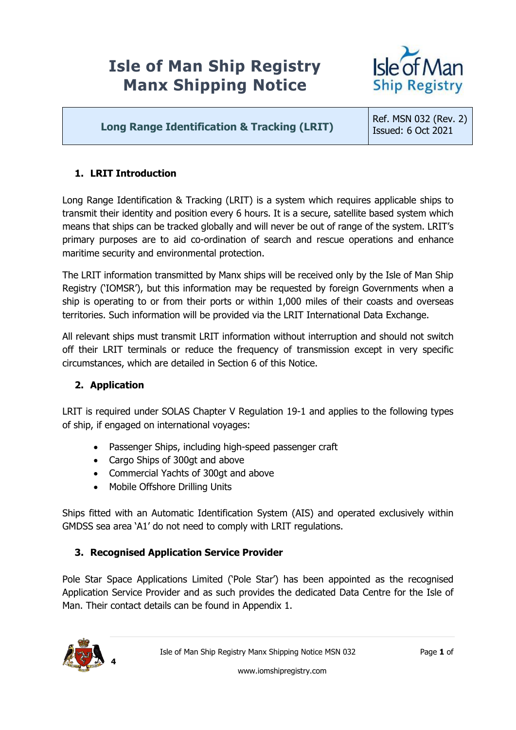# **Isle of Man Ship Registry Manx Shipping Notice**



# **Long Range Identification & Tracking (LRIT)**

Ref. MSN 032 (Rev. 2) Issued: 6 Oct 2021

## **1. LRIT Introduction**

Long Range Identification & Tracking (LRIT) is a system which requires applicable ships to transmit their identity and position every 6 hours. It is a secure, satellite based system which means that ships can be tracked globally and will never be out of range of the system. LRIT's primary purposes are to aid co-ordination of search and rescue operations and enhance maritime security and environmental protection.

The LRIT information transmitted by Manx ships will be received only by the Isle of Man Ship Registry ('IOMSR'), but this information may be requested by foreign Governments when a ship is operating to or from their ports or within 1,000 miles of their coasts and overseas territories. Such information will be provided via the LRIT International Data Exchange.

All relevant ships must transmit LRIT information without interruption and should not switch off their LRIT terminals or reduce the frequency of transmission except in very specific circumstances, which are detailed in Section 6 of this Notice.

## **2. Application**

LRIT is required under SOLAS Chapter V Regulation 19-1 and applies to the following types of ship, if engaged on international voyages:

- Passenger Ships, including high-speed passenger craft
- Cargo Ships of 300gt and above
- Commercial Yachts of 300qt and above
- Mobile Offshore Drilling Units

Ships fitted with an Automatic Identification System (AIS) and operated exclusively within GMDSS sea area 'A1' do not need to comply with LRIT regulations.

## **3. Recognised Application Service Provider**

Pole Star Space Applications Limited ('Pole Star') has been appointed as the recognised Application Service Provider and as such provides the dedicated Data Centre for the Isle of Man. Their contact details can be found in Appendix 1.

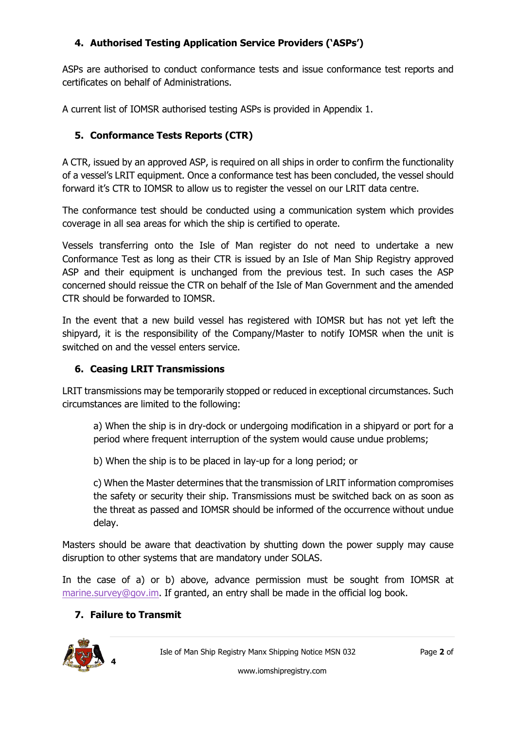# **4. Authorised Testing Application Service Providers ('ASPs')**

ASPs are authorised to conduct conformance tests and issue conformance test reports and certificates on behalf of Administrations.

A current list of IOMSR authorised testing ASPs is provided in Appendix 1.

# **5. Conformance Tests Reports (CTR)**

A CTR, issued by an approved ASP, is required on all ships in order to confirm the functionality of a vessel's LRIT equipment. Once a conformance test has been concluded, the vessel should forward it's CTR to IOMSR to allow us to register the vessel on our LRIT data centre.

The conformance test should be conducted using a communication system which provides coverage in all sea areas for which the ship is certified to operate.

Vessels transferring onto the Isle of Man register do not need to undertake a new Conformance Test as long as their CTR is issued by an Isle of Man Ship Registry approved ASP and their equipment is unchanged from the previous test. In such cases the ASP concerned should reissue the CTR on behalf of the Isle of Man Government and the amended CTR should be forwarded to IOMSR.

In the event that a new build vessel has registered with IOMSR but has not yet left the shipyard, it is the responsibility of the Company/Master to notify IOMSR when the unit is switched on and the vessel enters service.

## **6. Ceasing LRIT Transmissions**

LRIT transmissions may be temporarily stopped or reduced in exceptional circumstances. Such circumstances are limited to the following:

a) When the ship is in dry-dock or undergoing modification in a shipyard or port for a period where frequent interruption of the system would cause undue problems;

b) When the ship is to be placed in lay-up for a long period; or

c) When the Master determines that the transmission of LRIT information compromises the safety or security their ship. Transmissions must be switched back on as soon as the threat as passed and IOMSR should be informed of the occurrence without undue delay.

Masters should be aware that deactivation by shutting down the power supply may cause disruption to other systems that are mandatory under SOLAS.

In the case of a) or b) above, advance permission must be sought from IOMSR at [marine.survey@gov.im.](mailto:marine.survey@gov.im) If granted, an entry shall be made in the official log book.

## **7. Failure to Transmit**



Isle of Man Ship Registry Manx Shipping Notice MSN 032 Page **2** of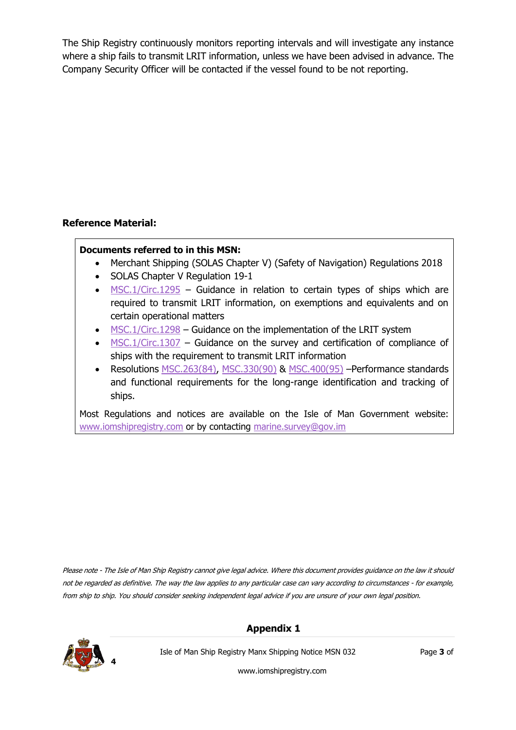The Ship Registry continuously monitors reporting intervals and will investigate any instance where a ship fails to transmit LRIT information, unless we have been advised in advance. The Company Security Officer will be contacted if the vessel found to be not reporting.

## **Reference Material:**

#### **Documents referred to in this MSN:**

- Merchant Shipping (SOLAS Chapter V) (Safety of Navigation) Regulations 2018
- SOLAS Chapter V Regulation 19-1
- $\bullet$  [MSC.1/Circ.1295](http://www.imo.org/en/OurWork/Safety/Navigation/Documents/LRIT/1295.pdf) Guidance in relation to certain types of ships which are required to transmit LRIT information, on exemptions and equivalents and on certain operational matters
- [MSC.1/Circ.1298](http://www.imo.org/en/OurWork/Safety/Navigation/Documents/LRIT/1298.pdf) Guidance on the implementation of the LRIT system
- $\blacksquare$  [MSC.1/Circ.1307](http://www.imo.org/en/OurWork/Safety/Navigation/Documents/LRIT/1307.pdf) Guidance on the survey and certification of compliance of ships with the requirement to transmit LRIT information
- Resolutions [MSC.263\(84\),](http://www.imo.org/en/KnowledgeCentre/IndexofIMOResolutions/Maritime-Safety-Committee-%28MSC%29/Documents/MSC.263%2884%29.pdf) [MSC.330\(90\)](http://www.imo.org/en/KnowledgeCentre/IndexofIMOResolutions/Maritime-Safety-Committee-(MSC)/Documents/MSC.330(90).pdf) & [MSC.400\(95\)](http://www.imo.org/en/KnowledgeCentre/IndexofIMOResolutions/Maritime-Safety-Committee-(MSC)/Documents/MSC.400(95).pdf) –Performance standards and functional requirements for the long-range identification and tracking of ships.

Most Regulations and notices are available on the Isle of Man Government website: [www.iomshipregistry.com](http://www.iomshipregistry.com/) or by contacting [marine.survey@gov.im](mailto:marine.survey@gov.im)

Please note - The Isle of Man Ship Registry cannot give legal advice. Where this document provides guidance on the law it should not be regarded as definitive. The way the law applies to any particular case can vary according to circumstances - for example, from ship to ship. You should consider seeking independent legal advice if you are unsure of your own legal position.

#### **Appendix 1**



Isle of Man Ship Registry Manx Shipping Notice MSN 032 Page **3** of

www.iomshipregistry.com